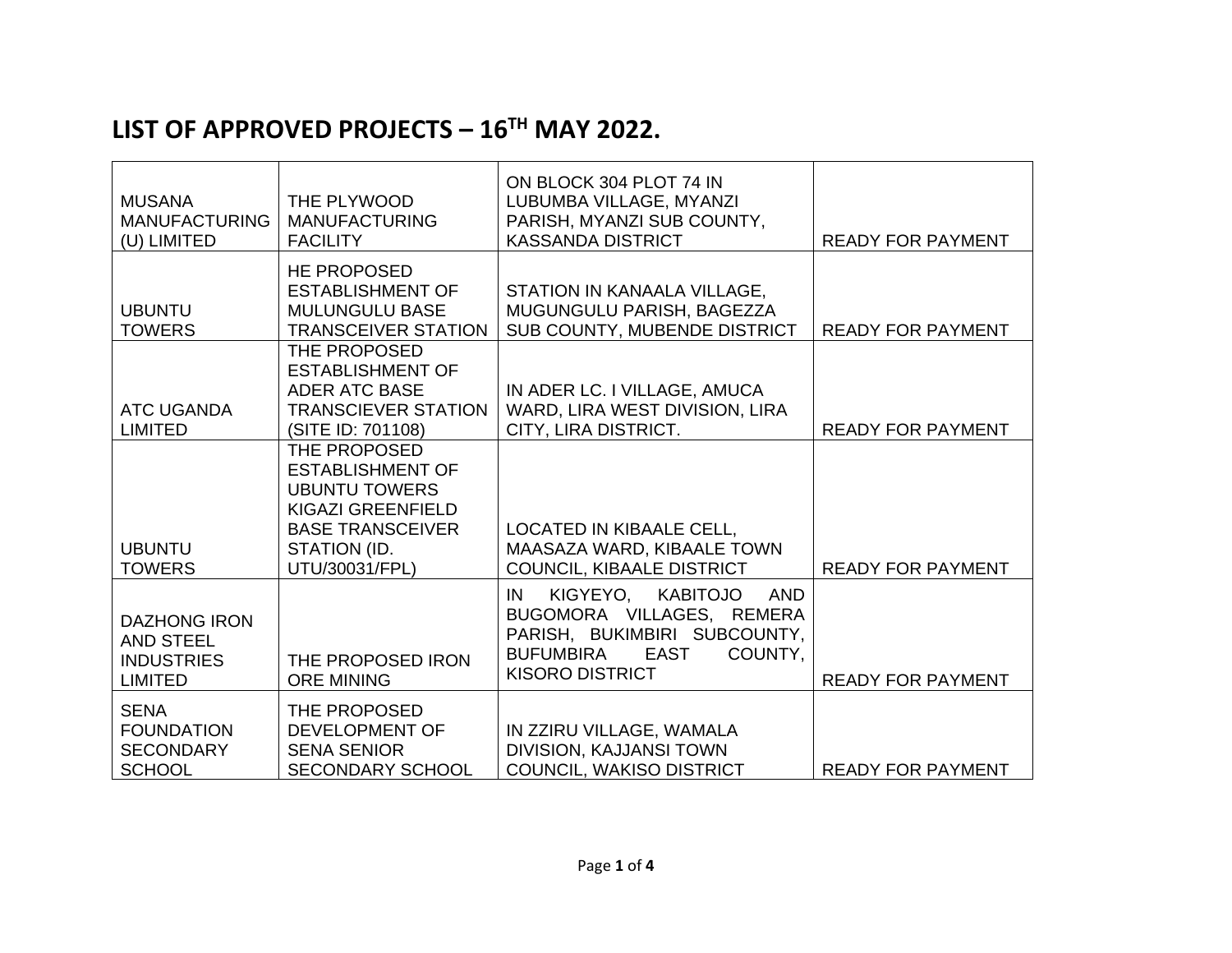## **LIST OF APPROVED PROJECTS – 16TH MAY 2022.**

| <b>MUSANA</b><br><b>MANUFACTURING</b><br>(U) LIMITED                           | THE PLYWOOD<br><b>MANUFACTURING</b><br><b>FACILITY</b>                                                                                            | ON BLOCK 304 PLOT 74 IN<br>LUBUMBA VILLAGE, MYANZI<br>PARISH, MYANZI SUB COUNTY,<br><b>KASSANDA DISTRICT</b>                                                           | <b>READY FOR PAYMENT</b> |
|--------------------------------------------------------------------------------|---------------------------------------------------------------------------------------------------------------------------------------------------|------------------------------------------------------------------------------------------------------------------------------------------------------------------------|--------------------------|
| <b>UBUNTU</b><br><b>TOWERS</b>                                                 | <b>HE PROPOSED</b><br><b>ESTABLISHMENT OF</b><br><b>MULUNGULU BASE</b><br><b>TRANSCEIVER STATION</b>                                              | STATION IN KANAALA VILLAGE,<br>MUGUNGULU PARISH, BAGEZZA<br>SUB COUNTY, MUBENDE DISTRICT                                                                               | <b>READY FOR PAYMENT</b> |
| <b>ATC UGANDA</b><br><b>LIMITED</b>                                            | THE PROPOSED<br><b>ESTABLISHMENT OF</b><br><b>ADER ATC BASE</b><br><b>TRANSCIEVER STATION</b><br>(SITE ID: 701108)                                | IN ADER LC. I VILLAGE, AMUCA<br>WARD, LIRA WEST DIVISION, LIRA<br>CITY, LIRA DISTRICT.                                                                                 | <b>READY FOR PAYMENT</b> |
| <b>UBUNTU</b><br><b>TOWERS</b>                                                 | THE PROPOSED<br><b>ESTABLISHMENT OF</b><br><b>UBUNTU TOWERS</b><br>KIGAZI GREENFIELD<br><b>BASE TRANSCEIVER</b><br>STATION (ID.<br>UTU/30031/FPL) | LOCATED IN KIBAALE CELL,<br>MAASAZA WARD, KIBAALE TOWN<br>COUNCIL, KIBAALE DISTRICT                                                                                    | <b>READY FOR PAYMENT</b> |
| <b>DAZHONG IRON</b><br><b>AND STEEL</b><br><b>INDUSTRIES</b><br><b>LIMITED</b> | THE PROPOSED IRON<br><b>ORE MINING</b>                                                                                                            | KIGYEYO,<br>KABITOJO<br>IN<br><b>AND</b><br>BUGOMORA VILLAGES, REMERA<br>PARISH, BUKIMBIRI SUBCOUNTY,<br>COUNTY,<br><b>BUFUMBIRA</b><br>EAST<br><b>KISORO DISTRICT</b> | <b>READY FOR PAYMENT</b> |
| <b>SENA</b><br><b>FOUNDATION</b><br><b>SECONDARY</b><br><b>SCHOOL</b>          | THE PROPOSED<br><b>DEVELOPMENT OF</b><br><b>SENA SENIOR</b><br><b>SECONDARY SCHOOL</b>                                                            | IN ZZIRU VILLAGE, WAMALA<br>DIVISION, KAJJANSI TOWN<br>COUNCIL, WAKISO DISTRICT                                                                                        | <b>READY FOR PAYMENT</b> |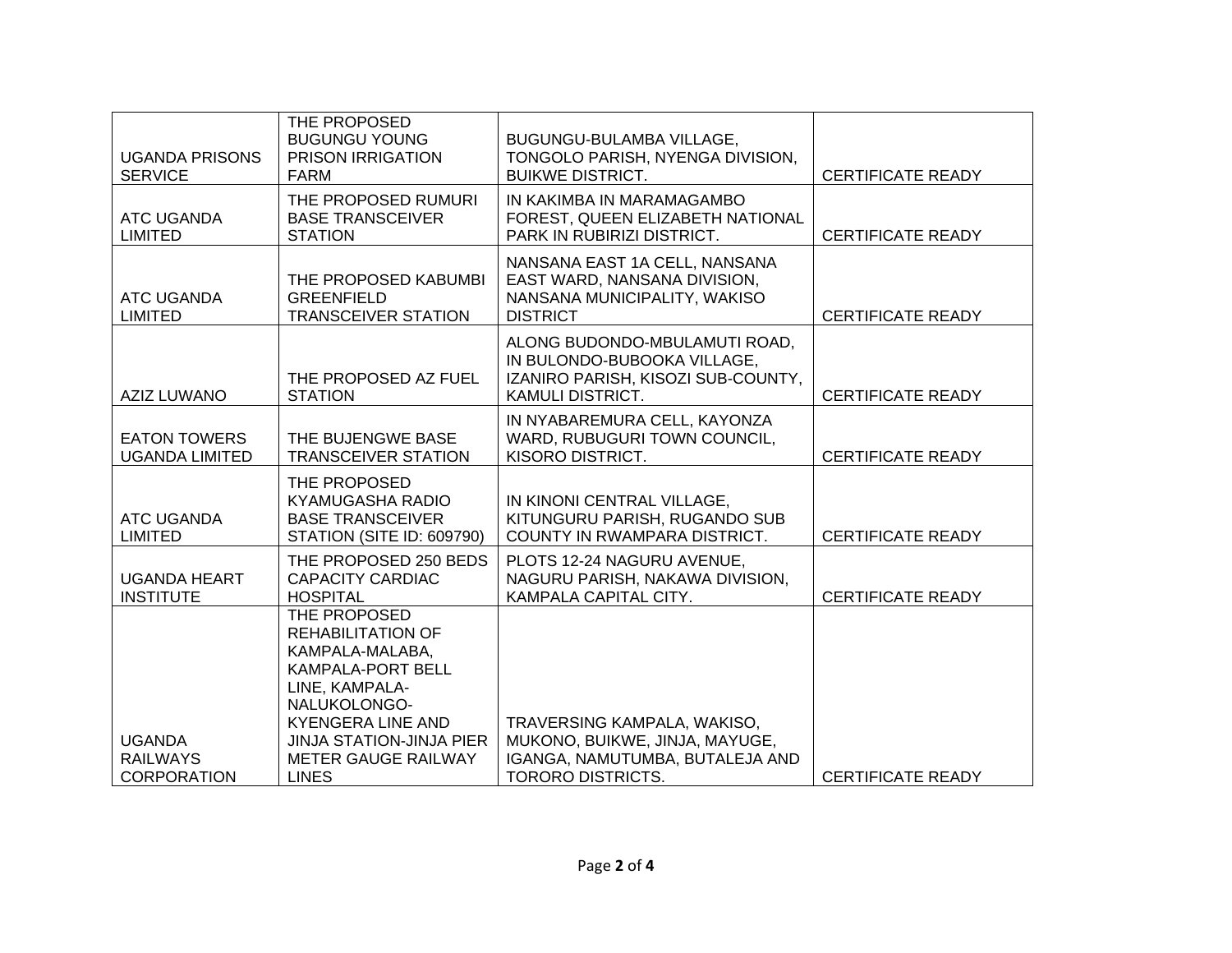| <b>UGANDA PRISONS</b><br><b>SERVICE</b>                | THE PROPOSED<br><b>BUGUNGU YOUNG</b><br><b>PRISON IRRIGATION</b><br>FARM                                                                                                                                                               | BUGUNGU-BULAMBA VILLAGE,<br>TONGOLO PARISH, NYENGA DIVISION,<br><b>BUIKWE DISTRICT.</b>                                       | <b>CERTIFICATE READY</b> |
|--------------------------------------------------------|----------------------------------------------------------------------------------------------------------------------------------------------------------------------------------------------------------------------------------------|-------------------------------------------------------------------------------------------------------------------------------|--------------------------|
| <b>ATC UGANDA</b><br><b>LIMITED</b>                    | THE PROPOSED RUMURI<br><b>BASE TRANSCEIVER</b><br><b>STATION</b>                                                                                                                                                                       | IN KAKIMBA IN MARAMAGAMBO<br>FOREST, QUEEN ELIZABETH NATIONAL<br>PARK IN RUBIRIZI DISTRICT.                                   | <b>CERTIFICATE READY</b> |
| <b>ATC UGANDA</b><br><b>LIMITED</b>                    | THE PROPOSED KABUMBI<br><b>GREENFIELD</b><br><b>TRANSCEIVER STATION</b>                                                                                                                                                                | NANSANA EAST 1A CELL, NANSANA<br>EAST WARD, NANSANA DIVISION,<br>NANSANA MUNICIPALITY, WAKISO<br><b>DISTRICT</b>              | <b>CERTIFICATE READY</b> |
| <b>AZIZ LUWANO</b>                                     | THE PROPOSED AZ FUEL<br><b>STATION</b>                                                                                                                                                                                                 | ALONG BUDONDO-MBULAMUTI ROAD,<br>IN BULONDO-BUBOOKA VILLAGE,<br>IZANIRO PARISH, KISOZI SUB-COUNTY,<br><b>KAMULI DISTRICT.</b> | <b>CERTIFICATE READY</b> |
| <b>EATON TOWERS</b><br><b>UGANDA LIMITED</b>           | THE BUJENGWE BASE<br><b>TRANSCEIVER STATION</b>                                                                                                                                                                                        | IN NYABAREMURA CELL, KAYONZA<br>WARD, RUBUGURI TOWN COUNCIL,<br>KISORO DISTRICT.                                              | <b>CERTIFICATE READY</b> |
| <b>ATC UGANDA</b><br><b>LIMITED</b>                    | THE PROPOSED<br><b>KYAMUGASHA RADIO</b><br><b>BASE TRANSCEIVER</b><br>STATION (SITE ID: 609790)                                                                                                                                        | IN KINONI CENTRAL VILLAGE,<br>KITUNGURU PARISH, RUGANDO SUB<br>COUNTY IN RWAMPARA DISTRICT.                                   | <b>CERTIFICATE READY</b> |
| <b>UGANDA HEART</b><br><b>INSTITUTE</b>                | THE PROPOSED 250 BEDS<br><b>CAPACITY CARDIAC</b><br><b>HOSPITAL</b>                                                                                                                                                                    | PLOTS 12-24 NAGURU AVENUE,<br>NAGURU PARISH, NAKAWA DIVISION,<br>KAMPALA CAPITAL CITY.                                        | <b>CERTIFICATE READY</b> |
| <b>UGANDA</b><br><b>RAILWAYS</b><br><b>CORPORATION</b> | THE PROPOSED<br><b>REHABILITATION OF</b><br>KAMPALA-MALABA,<br><b>KAMPALA-PORT BELL</b><br>LINE, KAMPALA-<br>NALUKOLONGO-<br><b>KYENGERA LINE AND</b><br><b>JINJA STATION-JINJA PIER</b><br><b>METER GAUGE RAILWAY</b><br><b>LINES</b> | TRAVERSING KAMPALA, WAKISO,<br>MUKONO, BUIKWE, JINJA, MAYUGE,<br>IGANGA, NAMUTUMBA, BUTALEJA AND<br><b>TORORO DISTRICTS.</b>  | <b>CERTIFICATE READY</b> |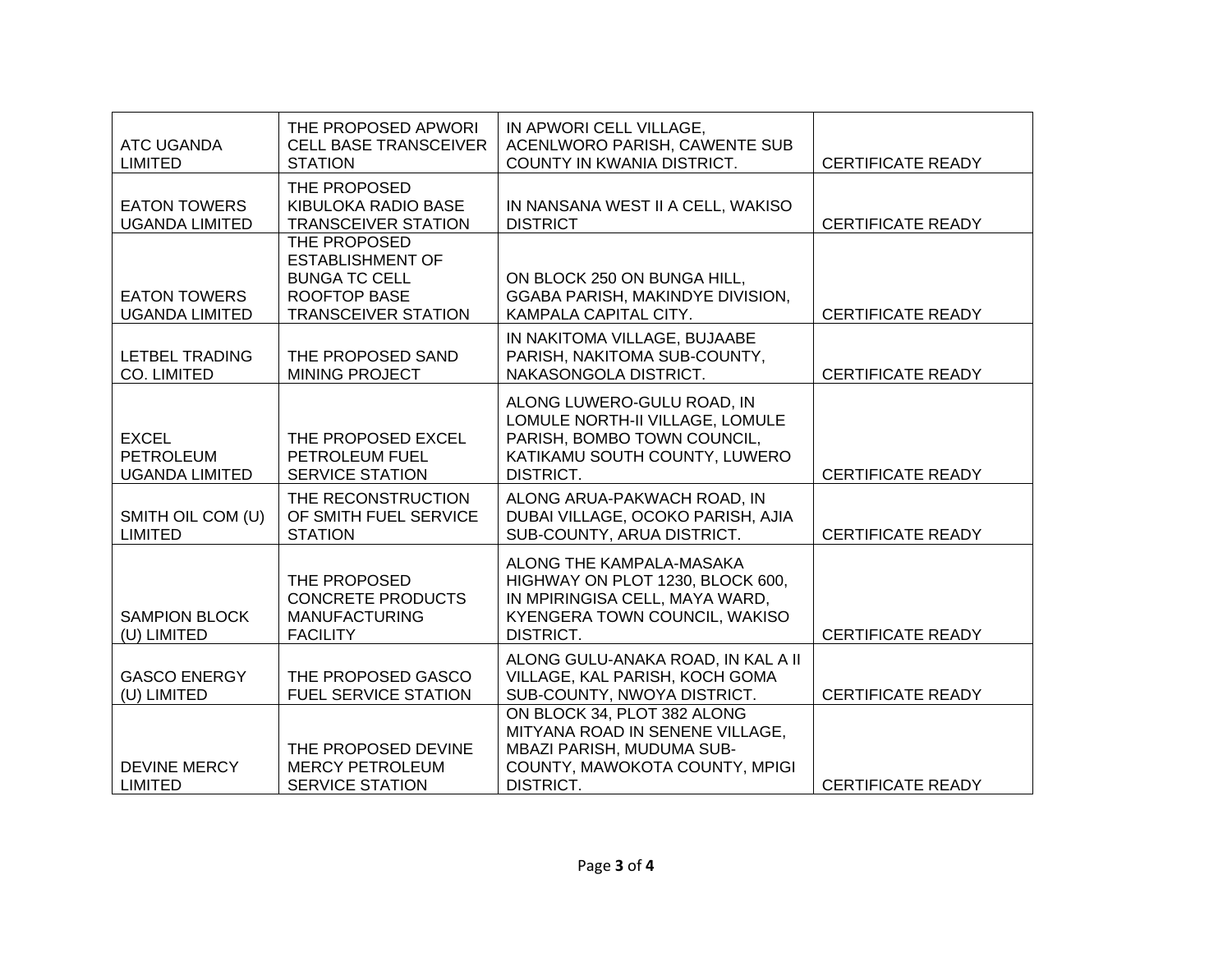| <b>ATC UGANDA</b><br><b>LIMITED</b>                       | THE PROPOSED APWORI<br><b>CELL BASE TRANSCEIVER</b><br><b>STATION</b>                                                | IN APWORI CELL VILLAGE,<br>ACENLWORO PARISH, CAWENTE SUB<br>COUNTY IN KWANIA DISTRICT.                                                       | <b>CERTIFICATE READY</b> |
|-----------------------------------------------------------|----------------------------------------------------------------------------------------------------------------------|----------------------------------------------------------------------------------------------------------------------------------------------|--------------------------|
| <b>EATON TOWERS</b><br><b>UGANDA LIMITED</b>              | THE PROPOSED<br>KIBULOKA RADIO BASE<br><b>TRANSCEIVER STATION</b>                                                    | IN NANSANA WEST II A CELL, WAKISO<br><b>DISTRICT</b>                                                                                         | <b>CERTIFICATE READY</b> |
| <b>EATON TOWERS</b><br><b>UGANDA LIMITED</b>              | THE PROPOSED<br><b>ESTABLISHMENT OF</b><br><b>BUNGA TC CELL</b><br><b>ROOFTOP BASE</b><br><b>TRANSCEIVER STATION</b> | ON BLOCK 250 ON BUNGA HILL,<br>GGABA PARISH, MAKINDYE DIVISION,<br>KAMPALA CAPITAL CITY.                                                     | <b>CERTIFICATE READY</b> |
| <b>LETBEL TRADING</b><br>CO. LIMITED                      | THE PROPOSED SAND<br><b>MINING PROJECT</b>                                                                           | IN NAKITOMA VILLAGE, BUJAABE<br>PARISH, NAKITOMA SUB-COUNTY,<br>NAKASONGOLA DISTRICT.                                                        | <b>CERTIFICATE READY</b> |
| <b>EXCEL</b><br><b>PETROLEUM</b><br><b>UGANDA LIMITED</b> | THE PROPOSED EXCEL<br><b>PETROLEUM FUEL</b><br><b>SERVICE STATION</b>                                                | ALONG LUWERO-GULU ROAD, IN<br>LOMULE NORTH-II VILLAGE, LOMULE<br>PARISH, BOMBO TOWN COUNCIL,<br>KATIKAMU SOUTH COUNTY, LUWERO<br>DISTRICT.   | <b>CERTIFICATE READY</b> |
| SMITH OIL COM (U)<br><b>LIMITED</b>                       | THE RECONSTRUCTION<br>OF SMITH FUEL SERVICE<br><b>STATION</b>                                                        | ALONG ARUA-PAKWACH ROAD, IN<br>DUBAI VILLAGE, OCOKO PARISH, AJIA<br>SUB-COUNTY, ARUA DISTRICT.                                               | <b>CERTIFICATE READY</b> |
| <b>SAMPION BLOCK</b><br>(U) LIMITED                       | THE PROPOSED<br><b>CONCRETE PRODUCTS</b><br><b>MANUFACTURING</b><br><b>FACILITY</b>                                  | ALONG THE KAMPALA-MASAKA<br>HIGHWAY ON PLOT 1230, BLOCK 600,<br>IN MPIRINGISA CELL, MAYA WARD,<br>KYENGERA TOWN COUNCIL, WAKISO<br>DISTRICT. | <b>CERTIFICATE READY</b> |
| <b>GASCO ENERGY</b><br>(U) LIMITED                        | THE PROPOSED GASCO<br><b>FUEL SERVICE STATION</b>                                                                    | ALONG GULU-ANAKA ROAD, IN KAL A II<br>VILLAGE, KAL PARISH, KOCH GOMA<br>SUB-COUNTY, NWOYA DISTRICT.                                          | <b>CERTIFICATE READY</b> |
| DEVINE MERCY<br><b>LIMITED</b>                            | THE PROPOSED DEVINE<br><b>MERCY PETROLEUM</b><br><b>SERVICE STATION</b>                                              | ON BLOCK 34, PLOT 382 ALONG<br>MITYANA ROAD IN SENENE VILLAGE,<br>MBAZI PARISH, MUDUMA SUB-<br>COUNTY, MAWOKOTA COUNTY, MPIGI<br>DISTRICT.   | <b>CERTIFICATE READY</b> |